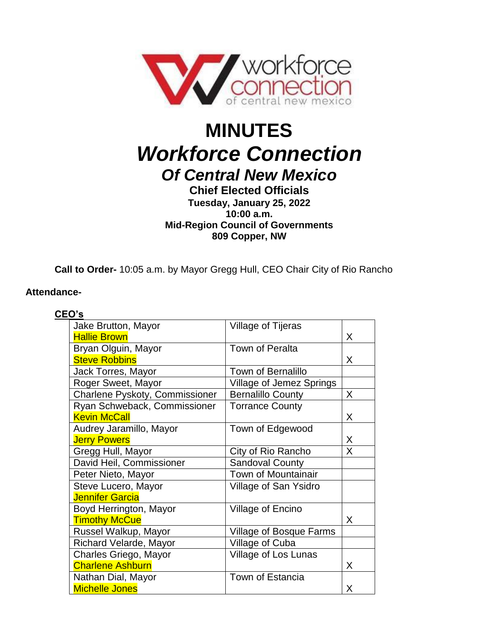

# **MINUTES** *Workforce Connection Of Central New Mexico*

# **Chief Elected Officials Tuesday, January 25, 2022 10:00 a.m. Mid-Region Council of Governments 809 Copper, NW**

**Call to Order-** 10:05 a.m. by Mayor Gregg Hull, CEO Chair City of Rio Rancho

# **Attendance-**

| CEO's |                                |                                |              |
|-------|--------------------------------|--------------------------------|--------------|
|       | Jake Brutton, Mayor            | Village of Tijeras             |              |
|       | <b>Hallie Brown</b>            |                                | X.           |
|       | Bryan Olguin, Mayor            | Town of Peralta                |              |
|       | <b>Steve Robbins</b>           |                                | X.           |
|       | Jack Torres, Mayor             | <b>Town of Bernalillo</b>      |              |
|       | Roger Sweet, Mayor             | Village of Jemez Springs       |              |
|       | Charlene Pyskoty, Commissioner | <b>Bernalillo County</b>       | $\mathsf{X}$ |
|       | Ryan Schweback, Commissioner   | <b>Torrance County</b>         |              |
|       | <b>Kevin McCall</b>            |                                | X            |
|       | Audrey Jaramillo, Mayor        | Town of Edgewood               |              |
|       | <b>Jerry Powers</b>            |                                | X            |
|       | Gregg Hull, Mayor              | City of Rio Rancho             | X            |
|       | David Heil, Commissioner       | <b>Sandoval County</b>         |              |
|       | Peter Nieto, Mayor             | <b>Town of Mountainair</b>     |              |
|       | Steve Lucero, Mayor            | Village of San Ysidro          |              |
|       | <b>Jennifer Garcia</b>         |                                |              |
|       | Boyd Herrington, Mayor         | <b>Village of Encino</b>       |              |
|       | <b>Timothy McCue</b>           |                                | X            |
|       | Russel Walkup, Mayor           | <b>Village of Bosque Farms</b> |              |
|       | Richard Velarde, Mayor         | Village of Cuba                |              |
|       | Charles Griego, Mayor          | Village of Los Lunas           |              |
|       | <b>Charlene Ashburn</b>        |                                | X            |
|       | Nathan Dial, Mayor             | <b>Town of Estancia</b>        |              |
|       | <b>Michelle Jones</b>          |                                | X            |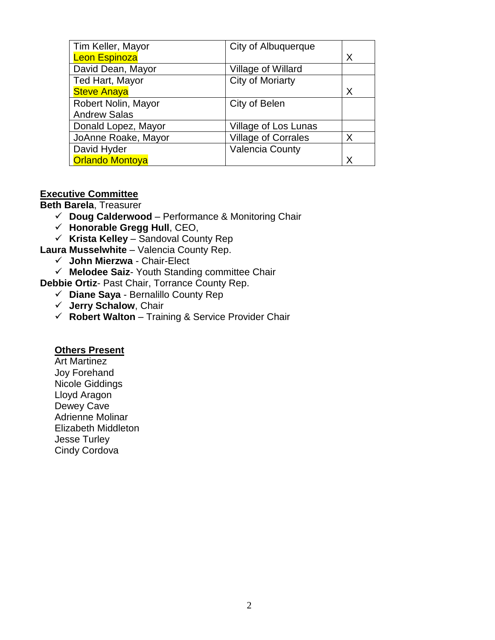| Tim Keller, Mayor      | City of Albuquerque        |   |
|------------------------|----------------------------|---|
| <b>Leon Espinoza</b>   |                            | X |
| David Dean, Mayor      | Village of Willard         |   |
| Ted Hart, Mayor        | <b>City of Moriarty</b>    |   |
| <b>Steve Anaya</b>     |                            | X |
| Robert Nolin, Mayor    | City of Belen              |   |
| <b>Andrew Salas</b>    |                            |   |
| Donald Lopez, Mayor    | Village of Los Lunas       |   |
| JoAnne Roake, Mayor    | <b>Village of Corrales</b> | X |
| David Hyder            | <b>Valencia County</b>     |   |
| <b>Orlando Montoya</b> |                            | X |

#### **Executive Committee**

**Beth Barela**, Treasurer

- **Doug Calderwood** Performance & Monitoring Chair
- **Honorable Gregg Hull**, CEO,
- **Krista Kelley** Sandoval County Rep

**Laura Musselwhite** – Valencia County Rep.

- **John Mierzwa** Chair-Elect
- **Melodee Saiz** Youth Standing committee Chair

**Debbie Ortiz**- Past Chair, Torrance County Rep.

- **Diane Saya** Bernalillo County Rep
- **Jerry Schalow**, Chair
- **Robert Walton** Training & Service Provider Chair

#### **Others Present**

Art Martinez Joy Forehand Nicole Giddings Lloyd Aragon Dewey Cave Adrienne Molinar Elizabeth Middleton Jesse Turley Cindy Cordova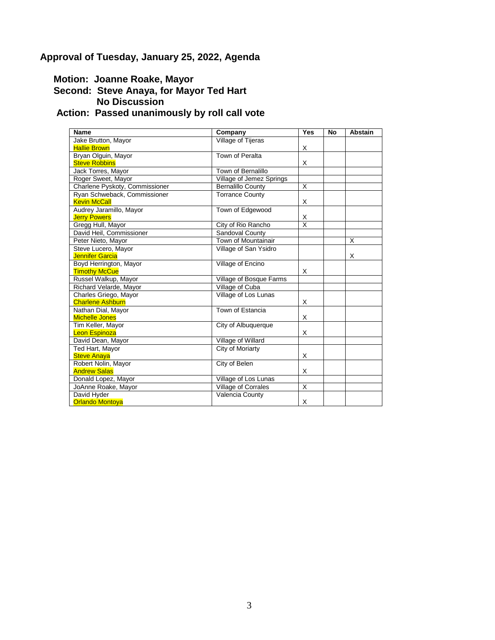# **Approval of Tuesday, January 25, 2022, Agenda**

 **Motion: Joanne Roake, Mayor**

#### **Second: Steve Anaya, for Mayor Ted Hart No Discussion**

# **Action: Passed unanimously by roll call vote**

| <b>Name</b>                    | Company                  | Yes                     | <b>No</b> | <b>Abstain</b> |
|--------------------------------|--------------------------|-------------------------|-----------|----------------|
| Jake Brutton, Mayor            | Village of Tijeras       |                         |           |                |
| <b>Hallie Brown</b>            |                          | X                       |           |                |
| Bryan Olguin, Mayor            | Town of Peralta          |                         |           |                |
| <b>Steve Robbins</b>           |                          | X                       |           |                |
| Jack Torres, Mayor             | Town of Bernalillo       |                         |           |                |
| Roger Sweet, Mayor             | Village of Jemez Springs |                         |           |                |
| Charlene Pyskoty, Commissioner | <b>Bernalillo County</b> | X                       |           |                |
| Ryan Schweback, Commissioner   | <b>Torrance County</b>   |                         |           |                |
| <b>Kevin McCall</b>            |                          | X                       |           |                |
| Audrey Jaramillo, Mayor        | Town of Edgewood         |                         |           |                |
| <b>Jerry Powers</b>            |                          | Χ                       |           |                |
| Gregg Hull, Mayor              | City of Rio Rancho       | $\overline{\mathsf{x}}$ |           |                |
| David Heil, Commissioner       | Sandoval County          |                         |           |                |
| Peter Nieto, Mayor             | Town of Mountainair      |                         |           | X              |
| Steve Lucero, Mayor            | Village of San Ysidro    |                         |           |                |
| <b>Jennifer Garcia</b>         |                          |                         |           | X              |
| Boyd Herrington, Mayor         | Village of Encino        |                         |           |                |
| <b>Timothy McCue</b>           |                          | X                       |           |                |
| Russel Walkup, Mayor           | Village of Bosque Farms  |                         |           |                |
| Richard Velarde, Mayor         | Village of Cuba          |                         |           |                |
| Charles Griego, Mayor          | Village of Los Lunas     |                         |           |                |
| <b>Charlene Ashburn</b>        |                          | X                       |           |                |
| Nathan Dial, Mayor             | Town of Estancia         |                         |           |                |
| <b>Michelle Jones</b>          |                          | X                       |           |                |
| Tim Keller, Mayor              | City of Albuquerque      |                         |           |                |
| <b>Leon Espinoza</b>           |                          | X                       |           |                |
| David Dean, Mayor              | Village of Willard       |                         |           |                |
| Ted Hart, Mayor                | City of Moriarty         |                         |           |                |
| <b>Steve Anaya</b>             |                          | X                       |           |                |
| Robert Nolin, Mayor            | City of Belen            |                         |           |                |
| <b>Andrew Salas</b>            |                          | X                       |           |                |
| Donald Lopez, Mayor            | Village of Los Lunas     |                         |           |                |
| JoAnne Roake, Mayor            | Village of Corrales      | X                       |           |                |
| David Hyder                    | Valencia County          |                         |           |                |
| <b>Orlando Montoya</b>         |                          | X                       |           |                |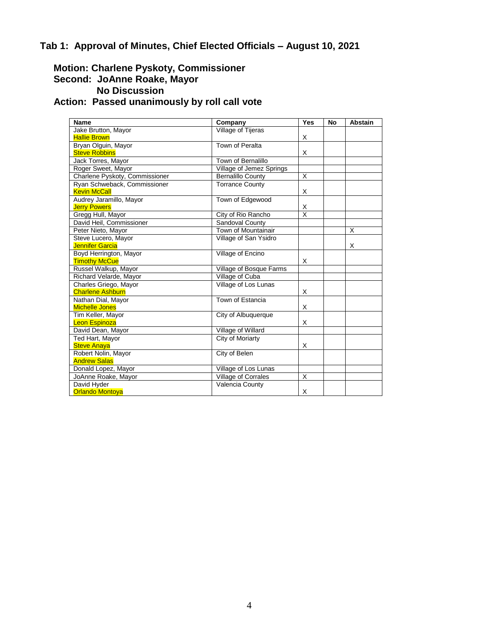# **Tab 1: Approval of Minutes, Chief Elected Officials – August 10, 2021**

# **Motion: Charlene Pyskoty, Commissioner Second: JoAnne Roake, Mayor No Discussion**

# **Action: Passed unanimously by roll call vote**

| <b>Name</b>                    | Company                  | Yes                     | <b>No</b> | <b>Abstain</b> |
|--------------------------------|--------------------------|-------------------------|-----------|----------------|
| Jake Brutton, Mayor            | Village of Tijeras       |                         |           |                |
| <b>Hallie Brown</b>            |                          | X                       |           |                |
| Bryan Olguin, Mayor            | Town of Peralta          |                         |           |                |
| <b>Steve Robbins</b>           |                          | X                       |           |                |
| Jack Torres, Mayor             | Town of Bernalillo       |                         |           |                |
| Roger Sweet, Mayor             | Village of Jemez Springs |                         |           |                |
| Charlene Pyskoty, Commissioner | <b>Bernalillo County</b> | X                       |           |                |
| Ryan Schweback, Commissioner   | <b>Torrance County</b>   |                         |           |                |
| <b>Kevin McCall</b>            |                          | X                       |           |                |
| Audrey Jaramillo, Mayor        | Town of Edgewood         |                         |           |                |
| <b>Jerry Powers</b>            |                          | Χ                       |           |                |
| Gregg Hull, Mayor              | City of Rio Rancho       | $\overline{\mathsf{x}}$ |           |                |
| David Heil, Commissioner       | Sandoval County          |                         |           |                |
| Peter Nieto, Mayor             | Town of Mountainair      |                         |           | X              |
| Steve Lucero, Mayor            | Village of San Ysidro    |                         |           |                |
| Jennifer Garcia                |                          |                         |           | Х              |
| Boyd Herrington, Mayor         | Village of Encino        |                         |           |                |
| <b>Timothy McCue</b>           |                          | X                       |           |                |
| Russel Walkup, Mayor           | Village of Bosque Farms  |                         |           |                |
| Richard Velarde, Mayor         | Village of Cuba          |                         |           |                |
| Charles Griego, Mayor          | Village of Los Lunas     |                         |           |                |
| <b>Charlene Ashburn</b>        |                          | X                       |           |                |
| Nathan Dial, Mayor             | Town of Estancia         |                         |           |                |
| <b>Michelle Jones</b>          |                          | X                       |           |                |
| Tim Keller, Mayor              | City of Albuquerque      |                         |           |                |
| <b>Leon Espinoza</b>           |                          | X                       |           |                |
| David Dean, Mayor              | Village of Willard       |                         |           |                |
| Ted Hart, Mayor                | City of Moriarty         |                         |           |                |
| <b>Steve Anaya</b>             |                          | X                       |           |                |
| Robert Nolin, Mayor            | City of Belen            |                         |           |                |
| <b>Andrew Salas</b>            |                          |                         |           |                |
| Donald Lopez, Mayor            | Village of Los Lunas     |                         |           |                |
| JoAnne Roake, Mayor            | Village of Corrales      | X                       |           |                |
| David Hyder                    | Valencia County          |                         |           |                |
| <b>Orlando Montova</b>         |                          | X                       |           |                |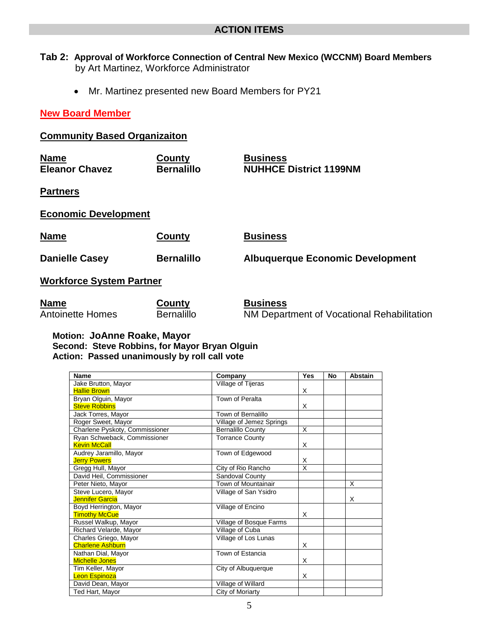- **Tab 2: Approval of Workforce Connection of Central New Mexico (WCCNM) Board Members** by Art Martinez, Workforce Administrator
	- Mr. Martinez presented new Board Members for PY21

#### **New Board Member**

# **Community Based Organizaiton**

| <b>Name</b>           | County            | <b>Business</b>               |
|-----------------------|-------------------|-------------------------------|
| <b>Eleanor Chavez</b> | <b>Bernalillo</b> | <b>NUHHCE District 1199NM</b> |

**Partners** 

**Economic Development**

| Name                     | County            | <b>Business</b>                         |
|--------------------------|-------------------|-----------------------------------------|
| <b>Danielle Casey</b>    | <b>Bernalillo</b> | <b>Albuquerque Economic Development</b> |
| Workforce System Partner |                   |                                         |

| <b>Name</b>             | <u>County</u> | <b>Business</b>                            |
|-------------------------|---------------|--------------------------------------------|
| <b>Antoinette Homes</b> | Bernalillo    | NM Department of Vocational Rehabilitation |

#### **Motion: JoAnne Roake, Mayor Second: Steve Robbins, for Mayor Bryan Olguin Action: Passed unanimously by roll call vote**

| <b>Name</b>                    | Company                  | <b>Yes</b> | <b>No</b> | <b>Abstain</b> |
|--------------------------------|--------------------------|------------|-----------|----------------|
| Jake Brutton, Mayor            | Village of Tijeras       |            |           |                |
| <b>Hallie Brown</b>            |                          | X          |           |                |
| Bryan Olguin, Mayor            | Town of Peralta          |            |           |                |
| <b>Steve Robbins</b>           |                          | X          |           |                |
| Jack Torres, Mayor             | Town of Bernalillo       |            |           |                |
| Roger Sweet, Mayor             | Village of Jemez Springs |            |           |                |
| Charlene Pyskoty, Commissioner | Bernalillo County        | X          |           |                |
| Ryan Schweback, Commissioner   | <b>Torrance County</b>   |            |           |                |
| <b>Kevin McCall</b>            |                          | X          |           |                |
| Audrey Jaramillo, Mayor        | Town of Edgewood         |            |           |                |
| <b>Jerry Powers</b>            |                          | X          |           |                |
| Gregg Hull, Mayor              | City of Rio Rancho       | X          |           |                |
| David Heil, Commissioner       | Sandoval County          |            |           |                |
| Peter Nieto, Mayor             | Town of Mountainair      |            |           | X              |
| Steve Lucero, Mayor            | Village of San Ysidro    |            |           |                |
| Jennifer Garcia                |                          |            |           | X              |
| Boyd Herrington, Mayor         | Village of Encino        |            |           |                |
| <b>Timothy McCue</b>           |                          | X          |           |                |
| Russel Walkup, Mayor           | Village of Bosque Farms  |            |           |                |
| Richard Velarde, Mayor         | Village of Cuba          |            |           |                |
| Charles Griego, Mayor          | Village of Los Lunas     |            |           |                |
| <b>Charlene Ashburn</b>        |                          | X          |           |                |
| Nathan Dial, Mayor             | Town of Estancia         |            |           |                |
| <b>Michelle Jones</b>          |                          | X          |           |                |
| Tim Keller, Mayor              | City of Albuquerque      |            |           |                |
| <b>Leon Espinoza</b>           |                          | X          |           |                |
| David Dean, Mayor              | Village of Willard       |            |           |                |
| Ted Hart, Mayor                | City of Moriarty         |            |           |                |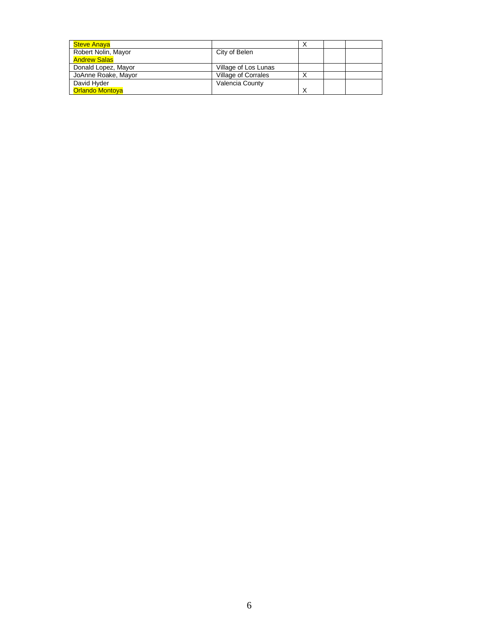| <b>Steve Anaya</b>     |                      |   |  |
|------------------------|----------------------|---|--|
| Robert Nolin, Mayor    | City of Belen        |   |  |
| <b>Andrew Salas</b>    |                      |   |  |
| Donald Lopez, Mayor    | Village of Los Lunas |   |  |
| JoAnne Roake, Mayor    | Village of Corrales  |   |  |
| David Hyder            | Valencia County      |   |  |
| <b>Orlando Montova</b> |                      | Χ |  |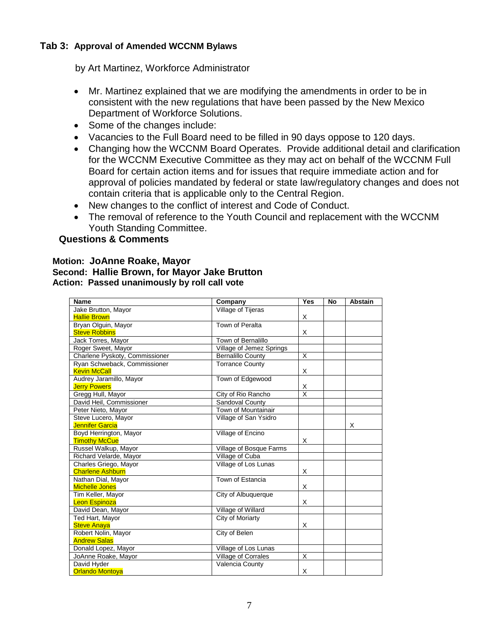### **Tab 3: Approval of Amended WCCNM Bylaws**

by Art Martinez, Workforce Administrator

- Mr. Martinez explained that we are modifying the amendments in order to be in consistent with the new regulations that have been passed by the New Mexico Department of Workforce Solutions.
- Some of the changes include:
- Vacancies to the Full Board need to be filled in 90 days oppose to 120 days.
- Changing how the WCCNM Board Operates. Provide additional detail and clarification for the WCCNM Executive Committee as they may act on behalf of the WCCNM Full Board for certain action items and for issues that require immediate action and for approval of policies mandated by federal or state law/regulatory changes and does not contain criteria that is applicable only to the Central Region.
- New changes to the conflict of interest and Code of Conduct.
- The removal of reference to the Youth Council and replacement with the WCCNM Youth Standing Committee.

#### **Questions & Comments**

#### **Motion: JoAnne Roake, Mayor Second: Hallie Brown, for Mayor Jake Brutton Action: Passed unanimously by roll call vote**

| <b>Name</b>                    | Company                  | Yes                     | <b>No</b> | <b>Abstain</b> |
|--------------------------------|--------------------------|-------------------------|-----------|----------------|
| Jake Brutton, Mayor            | Village of Tijeras       |                         |           |                |
| <b>Hallie Brown</b>            |                          | X                       |           |                |
| Bryan Olguin, Mayor            | Town of Peralta          |                         |           |                |
| <b>Steve Robbins</b>           |                          | Χ                       |           |                |
| Jack Torres, Mayor             | Town of Bernalillo       |                         |           |                |
| Roger Sweet, Mayor             | Village of Jemez Springs |                         |           |                |
| Charlene Pyskoty, Commissioner | <b>Bernalillo County</b> | $\overline{\mathsf{x}}$ |           |                |
| Ryan Schweback, Commissioner   | <b>Torrance County</b>   |                         |           |                |
| <b>Kevin McCall</b>            |                          | X                       |           |                |
| Audrey Jaramillo, Mayor        | Town of Edgewood         |                         |           |                |
| <b>Jerry Powers</b>            |                          | X                       |           |                |
| Gregg Hull, Mayor              | City of Rio Rancho       | $\overline{\mathsf{x}}$ |           |                |
| David Heil, Commissioner       | Sandoval County          |                         |           |                |
| Peter Nieto, Mayor             | Town of Mountainair      |                         |           |                |
| Steve Lucero, Mayor            | Village of San Ysidro    |                         |           |                |
| <b>Jennifer Garcia</b>         |                          |                         |           | X              |
| Boyd Herrington, Mayor         | Village of Encino        |                         |           |                |
| <b>Timothy McCue</b>           |                          | Χ                       |           |                |
| Russel Walkup, Mayor           | Village of Bosque Farms  |                         |           |                |
| Richard Velarde, Mayor         | Village of Cuba          |                         |           |                |
| Charles Griego, Mayor          | Village of Los Lunas     |                         |           |                |
| <b>Charlene Ashburn</b>        |                          | X                       |           |                |
| Nathan Dial, Mayor             | Town of Estancia         |                         |           |                |
| <b>Michelle Jones</b>          |                          | X                       |           |                |
| Tim Keller, Mayor              | City of Albuquerque      |                         |           |                |
| <b>Leon Espinoza</b>           |                          | X                       |           |                |
| David Dean, Mayor              | Village of Willard       |                         |           |                |
| Ted Hart, Mayor                | City of Moriarty         |                         |           |                |
| <b>Steve Anaya</b>             |                          | X                       |           |                |
| Robert Nolin, Mayor            | City of Belen            |                         |           |                |
| <b>Andrew Salas</b>            |                          |                         |           |                |
| Donald Lopez, Mayor            | Village of Los Lunas     |                         |           |                |
| JoAnne Roake, Mayor            | Village of Corrales      | X                       |           |                |
| David Hyder                    | Valencia County          |                         |           |                |
| <b>Orlando Montoya</b>         |                          | X                       |           |                |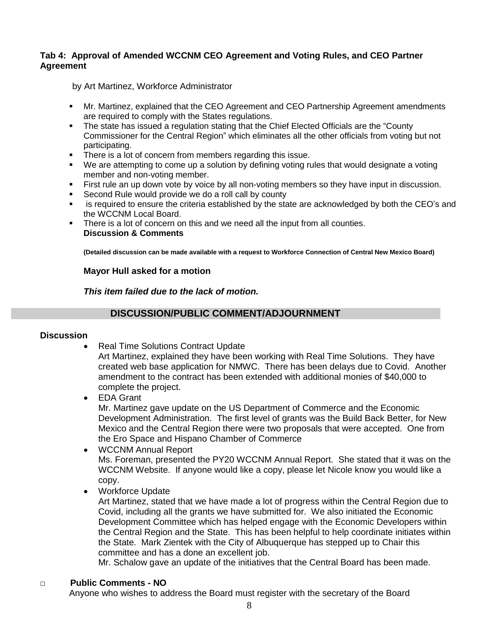#### **Tab 4: Approval of Amended WCCNM CEO Agreement and Voting Rules, and CEO Partner Agreement**

by Art Martinez, Workforce Administrator

- Mr. Martinez, explained that the CEO Agreement and CEO Partnership Agreement amendments are required to comply with the States regulations.
- The state has issued a regulation stating that the Chief Elected Officials are the "County Commissioner for the Central Region" which eliminates all the other officials from voting but not participating.
- There is a lot of concern from members regarding this issue.
- We are attempting to come up a solution by defining voting rules that would designate a voting member and non-voting member.
- First rule an up down vote by voice by all non-voting members so they have input in discussion.
- Second Rule would provide we do a roll call by county
- is required to ensure the criteria established by the state are acknowledged by both the CEO's and the WCCNM Local Board.
- There is a lot of concern on this and we need all the input from all counties. **Discussion & Comments**

**(Detailed discussion can be made available with a request to Workforce Connection of Central New Mexico Board)**

#### **Mayor Hull asked for a motion**

*This item failed due to the lack of motion.*

#### **DISCUSSION/PUBLIC COMMENT/ADJOURNMENT**

#### **Discussion**

- Real Time Solutions Contract Update Art Martinez, explained they have been working with Real Time Solutions. They have created web base application for NMWC. There has been delays due to Covid. Another amendment to the contract has been extended with additional monies of \$40,000 to complete the project.
- EDA Grant Mr. Martinez gave update on the US Department of Commerce and the Economic Development Administration. The first level of grants was the Build Back Better, for New Mexico and the Central Region there were two proposals that were accepted. One from the Ero Space and Hispano Chamber of Commerce
- WCCNM Annual Report Ms. Foreman, presented the PY20 WCCNM Annual Report. She stated that it was on the WCCNM Website. If anyone would like a copy, please let Nicole know you would like a copy.
- Workforce Update

Art Martinez, stated that we have made a lot of progress within the Central Region due to Covid, including all the grants we have submitted for. We also initiated the Economic Development Committee which has helped engage with the Economic Developers within the Central Region and the State. This has been helpful to help coordinate initiates within the State. Mark Zientek with the City of Albuquerque has stepped up to Chair this committee and has a done an excellent job.

Mr. Schalow gave an update of the initiatives that the Central Board has been made.

#### □ **Public Comments - NO**

Anyone who wishes to address the Board must register with the secretary of the Board